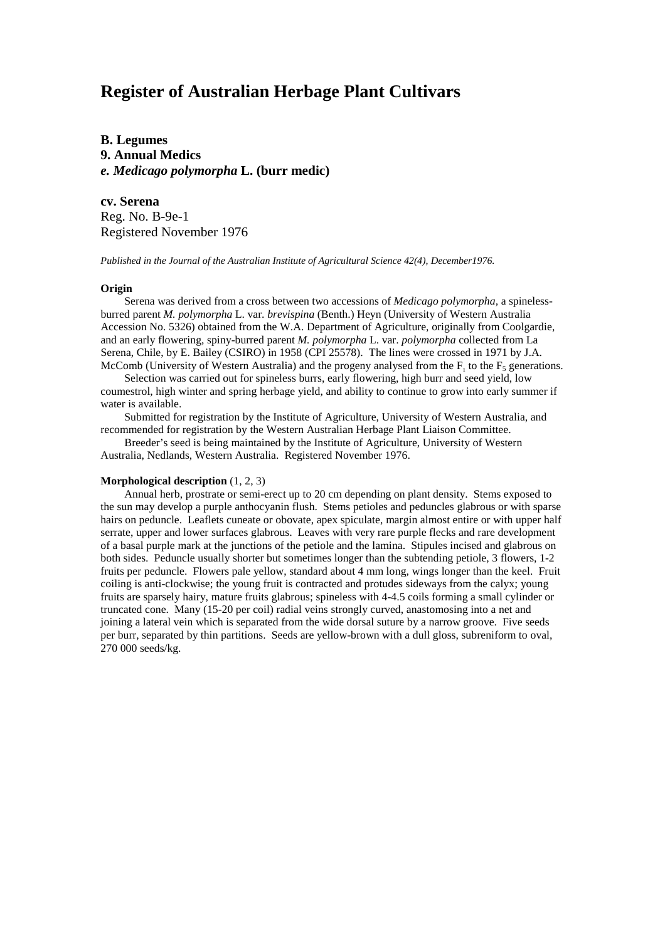# **Register of Australian Herbage Plant Cultivars**

**B. Legumes 9. Annual Medics** *e. Medicago polymorpha* **L. (burr medic)**

**cv. Serena** Reg. No. B-9e-1 Registered November 1976

*Published in the Journal of the Australian Institute of Agricultural Science 42(4), December1976.*

## **Origin**

Serena was derived from a cross between two accessions of *Medicago polymorpha,* a spinelessburred parent *M. polymorpha* L. var. *brevispina* (Benth.) Heyn (University of Western Australia Accession No. 5326) obtained from the W.A. Department of Agriculture, originally from Coolgardie, and an early flowering, spiny-burred parent *M. polymorpha* L. var. *polymorpha* collected from La Serena, Chile, by E. Bailey (CSIRO) in 1958 (CPI 25578). The lines were crossed in 1971 by J.A. McComb (University of Western Australia) and the progeny analysed from the  $F_1$  to the  $F_5$  generations.

Selection was carried out for spineless burrs, early flowering, high burr and seed yield, low coumestrol, high winter and spring herbage yield, and ability to continue to grow into early summer if water is available.

Submitted for registration by the Institute of Agriculture, University of Western Australia, and recommended for registration by the Western Australian Herbage Plant Liaison Committee.

Breeder's seed is being maintained by the Institute of Agriculture, University of Western Australia, Nedlands, Western Australia. Registered November 1976.

#### **Morphological description** (1, 2, 3)

Annual herb, prostrate or semi-erect up to 20 cm depending on plant density. Stems exposed to the sun may develop a purple anthocyanin flush. Stems petioles and peduncles glabrous or with sparse hairs on peduncle. Leaflets cuneate or obovate, apex spiculate, margin almost entire or with upper half serrate, upper and lower surfaces glabrous. Leaves with very rare purple flecks and rare development of a basal purple mark at the junctions of the petiole and the lamina. Stipules incised and glabrous on both sides. Peduncle usually shorter but sometimes longer than the subtending petiole, 3 flowers, 1-2 fruits per peduncle. Flowers pale yellow, standard about 4 mm long, wings longer than the keel. Fruit coiling is anti-clockwise; the young fruit is contracted and protudes sideways from the calyx; young fruits are sparsely hairy, mature fruits glabrous; spineless with 4-4.5 coils forming a small cylinder or truncated cone. Many (15-20 per coil) radial veins strongly curved, anastomosing into a net and joining a lateral vein which is separated from the wide dorsal suture by a narrow groove. Five seeds per burr, separated by thin partitions. Seeds are yellow-brown with a dull gloss, subreniform to oval, 270 000 seeds/kg.